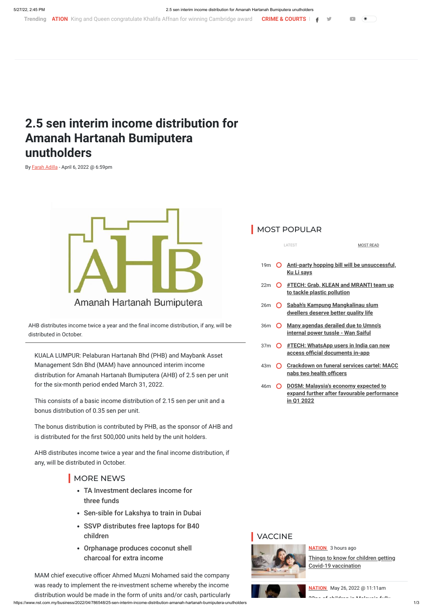# **2.5 sen interim income distribution for Amanah Hartanah Bumiputera unutholders**

By [Farah](https://www.nst.com.my/authors/farah-adilla) Adilla - April 6, 2022 @ 6:59pm



AHB distributes income twice a year and the final income distribution, if any, will be distributed in October.

KUALA LUMPUR: Pelaburan Hartanah Bhd (PHB) and Maybank Asset Management Sdn Bhd (MAM) have announced interim income distribution for Amanah Hartanah Bumiputera (AHB) of 2.5 sen per unit for the six-month period ended March 31, 2022.

https://www.nst.com.my/business/2022/04/786548/25-sen-interim-income-distribution-amanah-hartanah-bumiputera-unutholders 1/3 MAM chief executive officer Ahmed Muzni Mohamed said the company was ready to implement the re-investment scheme whereby the income distribution would be made in the form of units and/or cash, particularly

This consists of a basic income distribution of 2.15 sen per unit and a bonus distribution of 0.35 sen per unit.

The bonus distribution is contributed by PHB, as the sponsor of AHB and is distributed for the first 500,000 units held by the unit holders.

AHB distributes income twice a year and the final income distribution, if

any, will be distributed in October.

### **MORE NEWS**

- [TA Investment declares income for](https://www.nst.com.my/business/2022/05/794132/ta-investment-declares-income-three-funds) three funds
- [Sen-sible for Lakshya to train in Dubai](https://www.nst.com.my/sports/badminton/2022/02/771779/sen-sible-lakshya-train-dubai)
- [SSVP distributes free laptops for B40](https://www.nst.com.my/news/nation/2021/12/755243/ssvp-distributes-free-laptops-b40-children) children
- [Orphanage produces coconut shell](https://www.nst.com.my/news/nation/2021/12/755788/orphanage-produces-coconut-shell-charcoal-extra-income) charcoal for extra income

### MOST POPULAR

### VACCINE



|     | <b>LATEST</b><br><b>MOST READ</b>                                                                   |
|-----|-----------------------------------------------------------------------------------------------------|
|     | 19m <b>O</b> Anti-party hopping bill will be unsuccessful,<br><u>Ku Li says</u>                     |
| 22m | <b>O</b> #TECH: Grab, KLEAN and MRANTI team up<br>to tackle plastic pollution                       |
| 26m | <b>O</b> Sabah's Kampung Mangkalinau slum<br><u>dwellers deserve better quality life</u>            |
|     | 36m <b>O</b> Many agendas derailed due to Umno's<br>internal power tussle - Wan Saiful              |
| 37m | <b>O</b> #TECH: WhatsApp users in India can now<br><u>access official documents in-app</u>          |
| 43m | <b>O</b> Crackdown on funeral services cartel: MACC<br>nabs two health officers                     |
| 46m | O DOSM: Malaysia's economy expected to<br>expand further after favourable performance<br>in Q1 2022 |

**NATION** 3 hours ago

[Things to know for children getting](https://www.nst.com.my/news/nation/2022/05/799914/things-know-children-getting-covid-19-vaccination) Covid-19 vaccination



**NATION** May 26, 2022 @ [11:11am](https://www.nst.com.my/news/nation/2022/05/799561/32pc-children-malaysia-fully-vaccinated-against-covid-19)

32pc of children in Malaysia fully